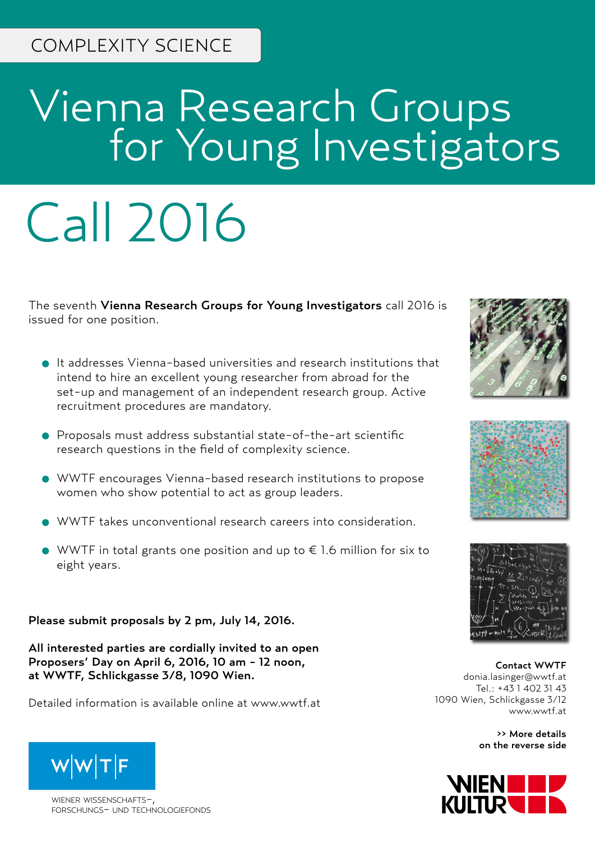## Vienna Research Groups **For Young Investigators**

# Call 2016

The seventh Vienna Research Groups for Young Investigators call 2016 is issued for one position.

- It addresses Vienna-based universities and research institutions that intend to hire an excellent young researcher from abroad for the set-up and management of an independent research group. Active recruitment procedures are mandatory.
- Proposals must address substantial state-of-the-art scientific research questions in the field of complexity science.
- WWTF encourages Vienna-based research institutions to propose women who show potential to act as group leaders.
- WWTF takes unconventional research careers into consideration.
- $\bullet$  WWTF in total grants one position and up to  $\epsilon$  1.6 million for six to eight years.

Please submit proposals by 2 pm, July 14, 2016.

All interested parties are cordially invited to an open Proposers' Day on April 6, 2016, 10 am - 12 noon, at WWTF, Schlickgasse 3/8, 1090 Wien.

Detailed information is available online at www.wwtf.at



wiener wissenschafts-, forschungs- und technologiefonds







Contact WWTF donia.lasinger@wwtf.at Tel.: +43 1 402 31 43 1090 Wien, Schlickgasse 3/12 www.wwtf.at

> >> More details on the reverse side